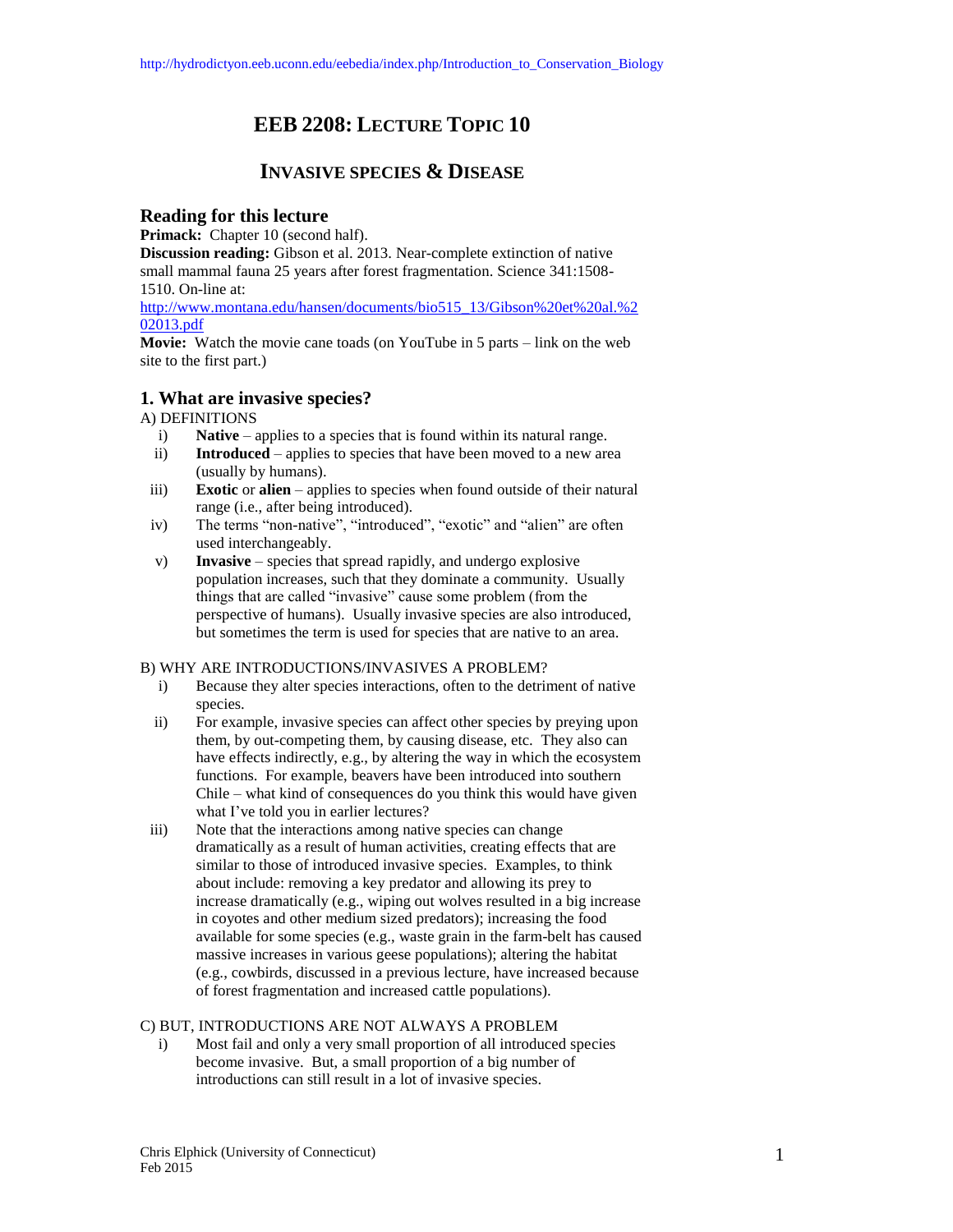# **EEB 2208: LECTURE TOPIC 10**

## **INVASIVE SPECIES & DISEASE**

## **Reading for this lecture**

**Primack:** Chapter 10 (second half).

**Discussion reading:** Gibson et al. 2013. Near-complete extinction of native small mammal fauna 25 years after forest fragmentation. Science 341:1508- 1510. On-line at:

[http://www.montana.edu/hansen/documents/bio515\\_13/Gibson%20et%20al.%2](http://www.montana.edu/hansen/documents/bio515_13/Gibson%20et%20al.%202013.pdf) [02013.pdf](http://www.montana.edu/hansen/documents/bio515_13/Gibson%20et%20al.%202013.pdf)

**Movie:** Watch the movie cane toads (on YouTube in 5 parts – link on the web site to the first part.)

## **1. What are invasive species?**

A) DEFINITIONS

- i) **Native**  applies to a species that is found within its natural range.
- ii) **Introduced**  applies to species that have been moved to a new area (usually by humans).
- iii) **Exotic** or **alien** applies to species when found outside of their natural range (i.e., after being introduced).
- iv) The terms "non-native", "introduced", "exotic" and "alien" are often used interchangeably.
- v) **Invasive**  species that spread rapidly, and undergo explosive population increases, such that they dominate a community. Usually things that are called "invasive" cause some problem (from the perspective of humans). Usually invasive species are also introduced, but sometimes the term is used for species that are native to an area.

#### B) WHY ARE INTRODUCTIONS/INVASIVES A PROBLEM?

- i) Because they alter species interactions, often to the detriment of native species.
- ii) For example, invasive species can affect other species by preying upon them, by out-competing them, by causing disease, etc. They also can have effects indirectly, e.g., by altering the way in which the ecosystem functions. For example, beavers have been introduced into southern Chile – what kind of consequences do you think this would have given what I've told you in earlier lectures?
- iii) Note that the interactions among native species can change dramatically as a result of human activities, creating effects that are similar to those of introduced invasive species. Examples, to think about include: removing a key predator and allowing its prey to increase dramatically (e.g., wiping out wolves resulted in a big increase in coyotes and other medium sized predators); increasing the food available for some species (e.g., waste grain in the farm-belt has caused massive increases in various geese populations); altering the habitat (e.g., cowbirds, discussed in a previous lecture, have increased because of forest fragmentation and increased cattle populations).

#### C) BUT, INTRODUCTIONS ARE NOT ALWAYS A PROBLEM

i) Most fail and only a very small proportion of all introduced species become invasive. But, a small proportion of a big number of introductions can still result in a lot of invasive species.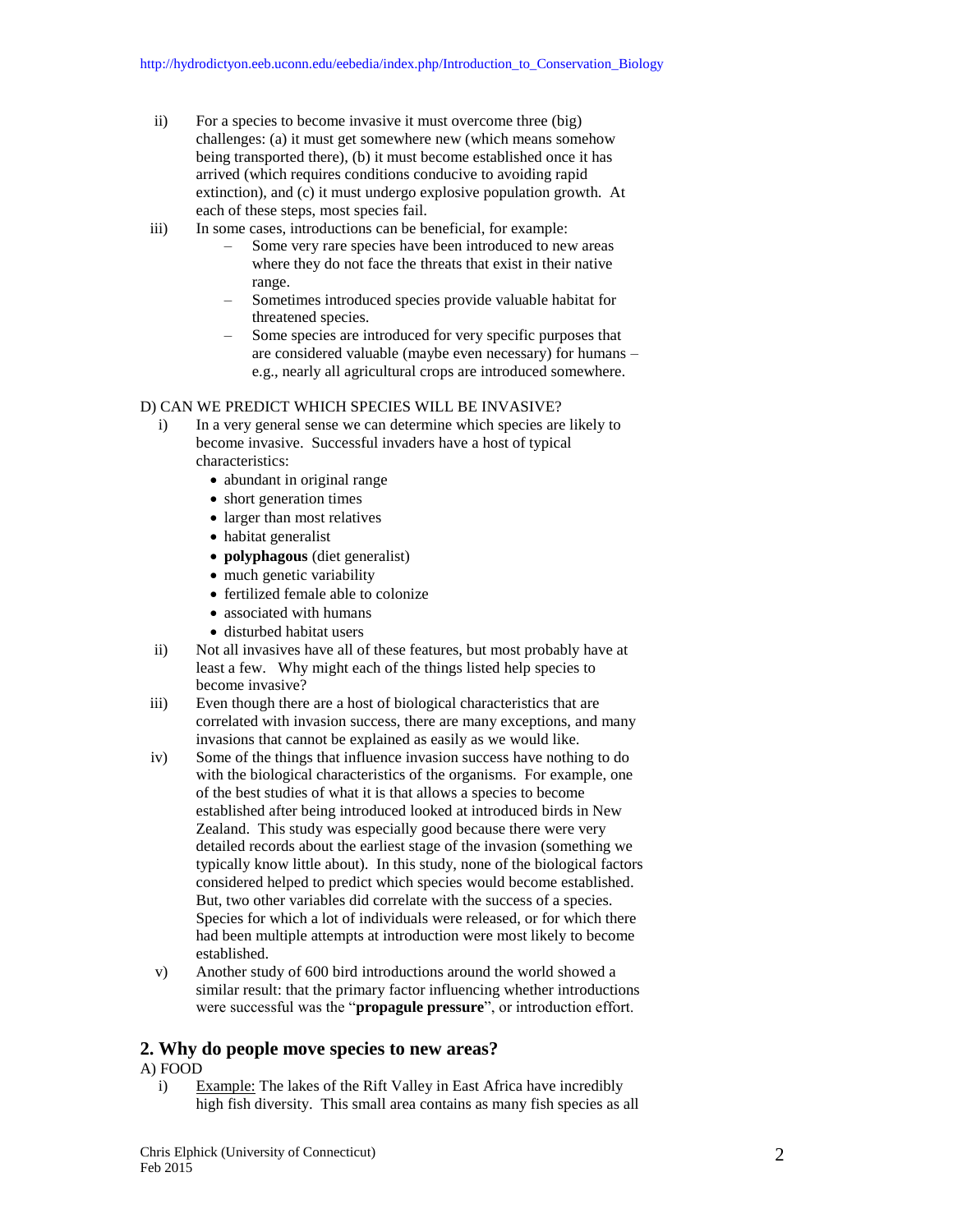- ii) For a species to become invasive it must overcome three (big) challenges: (a) it must get somewhere new (which means somehow being transported there), (b) it must become established once it has arrived (which requires conditions conducive to avoiding rapid extinction), and (c) it must undergo explosive population growth. At each of these steps, most species fail.
- iii) In some cases, introductions can be beneficial, for example:
	- Some very rare species have been introduced to new areas where they do not face the threats that exist in their native range.
	- Sometimes introduced species provide valuable habitat for threatened species.
	- Some species are introduced for very specific purposes that are considered valuable (maybe even necessary) for humans – e.g., nearly all agricultural crops are introduced somewhere.

#### D) CAN WE PREDICT WHICH SPECIES WILL BE INVASIVE?

- i) In a very general sense we can determine which species are likely to become invasive. Successful invaders have a host of typical characteristics:
	- abundant in original range
	- short generation times
	- larger than most relatives
	- habitat generalist
	- **polyphagous** (diet generalist)
	- much genetic variability
	- fertilized female able to colonize
	- associated with humans
	- disturbed habitat users
- ii) Not all invasives have all of these features, but most probably have at least a few. Why might each of the things listed help species to become invasive?
- iii) Even though there are a host of biological characteristics that are correlated with invasion success, there are many exceptions, and many invasions that cannot be explained as easily as we would like.
- iv) Some of the things that influence invasion success have nothing to do with the biological characteristics of the organisms. For example, one of the best studies of what it is that allows a species to become established after being introduced looked at introduced birds in New Zealand. This study was especially good because there were very detailed records about the earliest stage of the invasion (something we typically know little about). In this study, none of the biological factors considered helped to predict which species would become established. But, two other variables did correlate with the success of a species. Species for which a lot of individuals were released, or for which there had been multiple attempts at introduction were most likely to become established.
- v) Another study of 600 bird introductions around the world showed a similar result: that the primary factor influencing whether introductions were successful was the "**propagule pressure**", or introduction effort.

#### **2. Why do people move species to new areas?**

#### A) FOOD

i) Example: The lakes of the Rift Valley in East Africa have incredibly high fish diversity. This small area contains as many fish species as all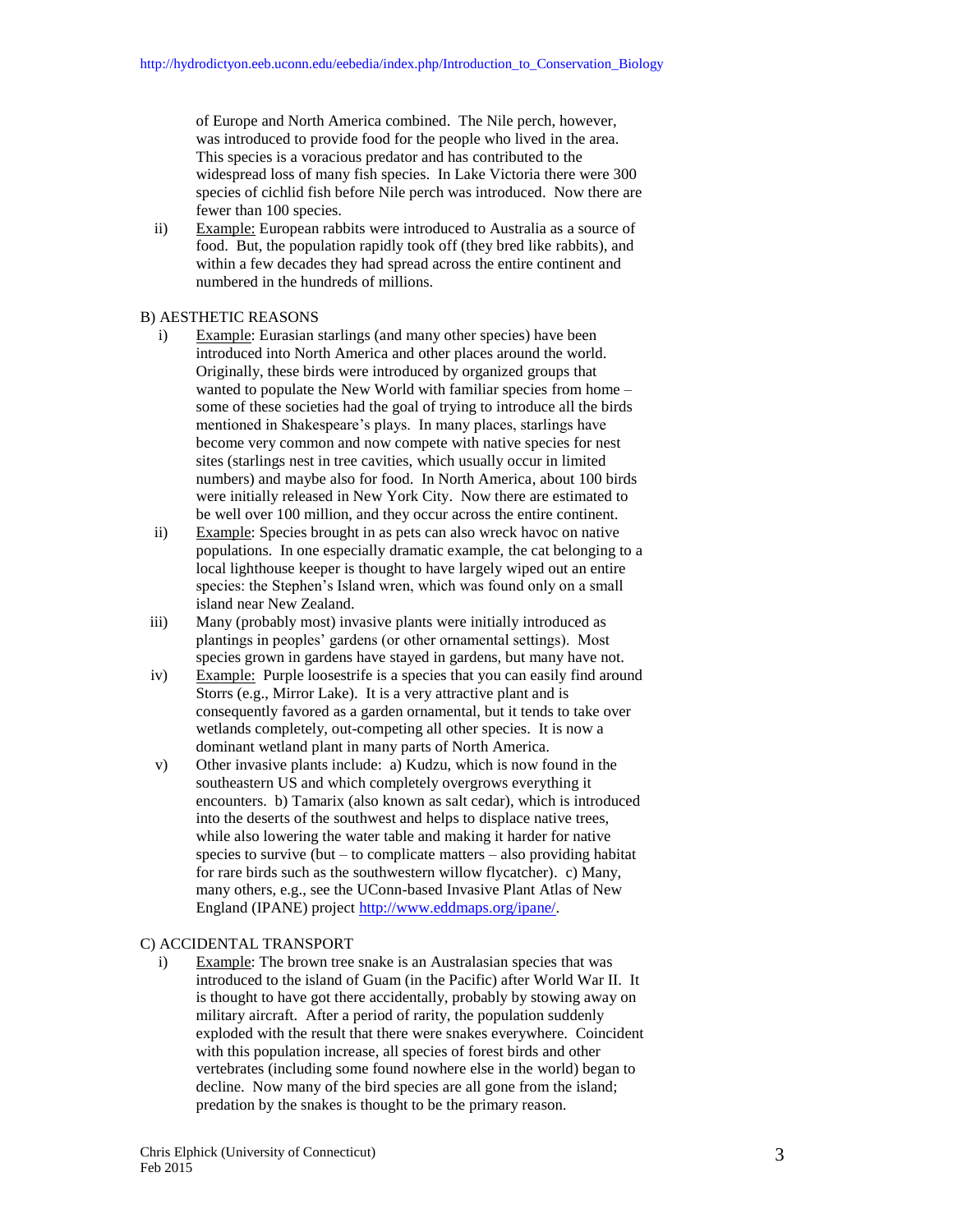of Europe and North America combined. The Nile perch, however, was introduced to provide food for the people who lived in the area. This species is a voracious predator and has contributed to the widespread loss of many fish species. In Lake Victoria there were 300 species of cichlid fish before Nile perch was introduced. Now there are fewer than 100 species.

ii) Example: European rabbits were introduced to Australia as a source of food. But, the population rapidly took off (they bred like rabbits), and within a few decades they had spread across the entire continent and numbered in the hundreds of millions.

#### B) AESTHETIC REASONS

- i) Example: Eurasian starlings (and many other species) have been introduced into North America and other places around the world. Originally, these birds were introduced by organized groups that wanted to populate the New World with familiar species from home – some of these societies had the goal of trying to introduce all the birds mentioned in Shakespeare's plays. In many places, starlings have become very common and now compete with native species for nest sites (starlings nest in tree cavities, which usually occur in limited numbers) and maybe also for food. In North America, about 100 birds were initially released in New York City. Now there are estimated to be well over 100 million, and they occur across the entire continent.
- ii) Example: Species brought in as pets can also wreck havoc on native populations. In one especially dramatic example, the cat belonging to a local lighthouse keeper is thought to have largely wiped out an entire species: the Stephen's Island wren, which was found only on a small island near New Zealand.
- iii) Many (probably most) invasive plants were initially introduced as plantings in peoples' gardens (or other ornamental settings). Most species grown in gardens have stayed in gardens, but many have not.
- iv) Example: Purple loosestrife is a species that you can easily find around Storrs (e.g., Mirror Lake). It is a very attractive plant and is consequently favored as a garden ornamental, but it tends to take over wetlands completely, out-competing all other species. It is now a dominant wetland plant in many parts of North America.
- v) Other invasive plants include: a) Kudzu, which is now found in the southeastern US and which completely overgrows everything it encounters. b) Tamarix (also known as salt cedar), which is introduced into the deserts of the southwest and helps to displace native trees, while also lowering the water table and making it harder for native species to survive (but – to complicate matters – also providing habitat for rare birds such as the southwestern willow flycatcher). c) Many, many others, e.g., see the UConn-based Invasive Plant Atlas of New England (IPANE) projec[t http://www.eddmaps.org/ipane/.](http://www.eddmaps.org/ipane/)

#### C) ACCIDENTAL TRANSPORT

i) Example: The brown tree snake is an Australasian species that was introduced to the island of Guam (in the Pacific) after World War II. It is thought to have got there accidentally, probably by stowing away on military aircraft. After a period of rarity, the population suddenly exploded with the result that there were snakes everywhere. Coincident with this population increase, all species of forest birds and other vertebrates (including some found nowhere else in the world) began to decline. Now many of the bird species are all gone from the island; predation by the snakes is thought to be the primary reason.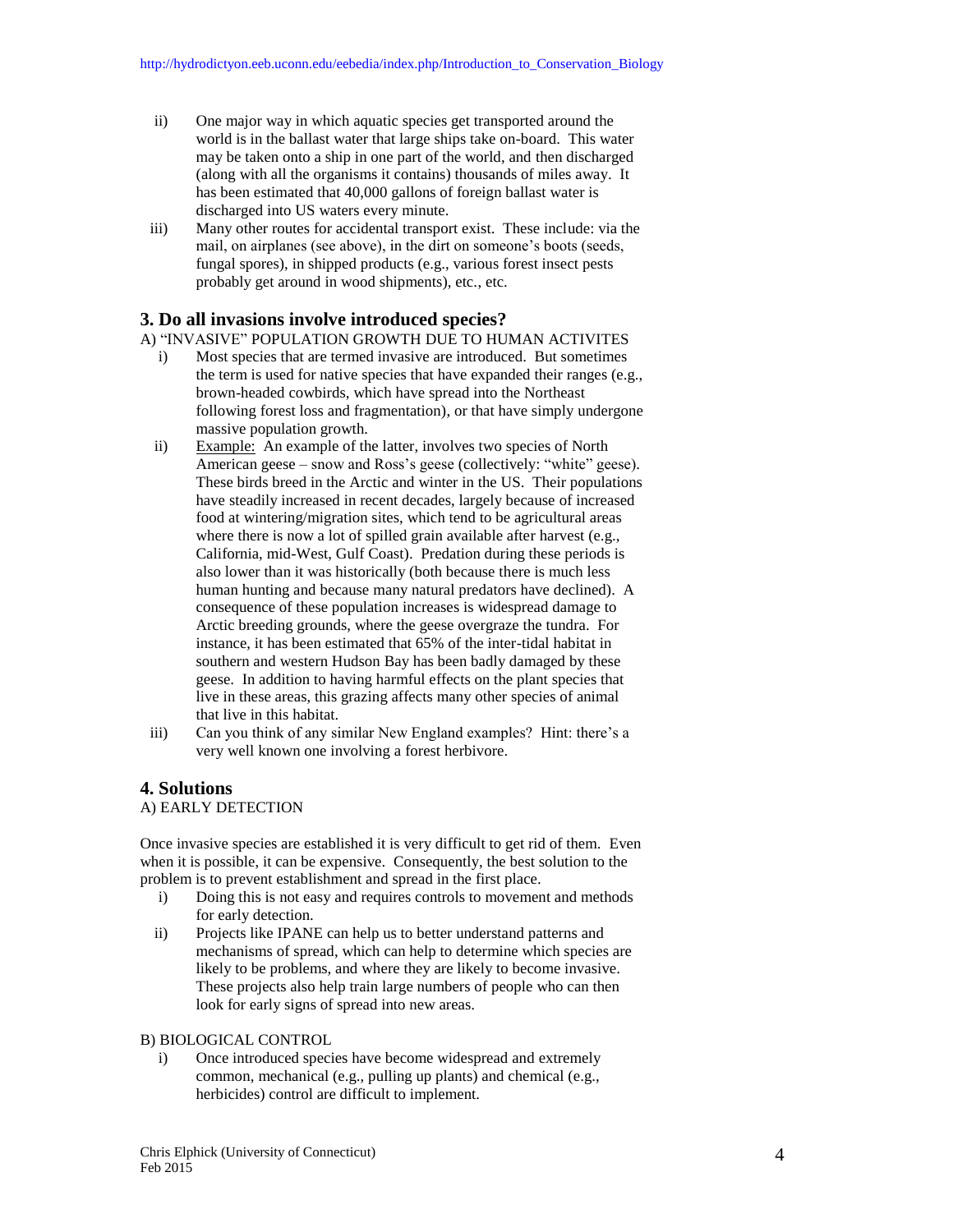- ii) One major way in which aquatic species get transported around the world is in the ballast water that large ships take on-board. This water may be taken onto a ship in one part of the world, and then discharged (along with all the organisms it contains) thousands of miles away. It has been estimated that 40,000 gallons of foreign ballast water is discharged into US waters every minute.
- iii) Many other routes for accidental transport exist. These include: via the mail, on airplanes (see above), in the dirt on someone's boots (seeds, fungal spores), in shipped products (e.g., various forest insect pests probably get around in wood shipments), etc., etc.

## **3. Do all invasions involve introduced species?**

A) "INVASIVE" POPULATION GROWTH DUE TO HUMAN ACTIVITES

- i) Most species that are termed invasive are introduced. But sometimes the term is used for native species that have expanded their ranges (e.g., brown-headed cowbirds, which have spread into the Northeast following forest loss and fragmentation), or that have simply undergone massive population growth.
- ii) Example: An example of the latter, involves two species of North American geese – snow and Ross's geese (collectively: "white" geese). These birds breed in the Arctic and winter in the US. Their populations have steadily increased in recent decades, largely because of increased food at wintering/migration sites, which tend to be agricultural areas where there is now a lot of spilled grain available after harvest (e.g., California, mid-West, Gulf Coast). Predation during these periods is also lower than it was historically (both because there is much less human hunting and because many natural predators have declined). A consequence of these population increases is widespread damage to Arctic breeding grounds, where the geese overgraze the tundra. For instance, it has been estimated that 65% of the inter-tidal habitat in southern and western Hudson Bay has been badly damaged by these geese. In addition to having harmful effects on the plant species that live in these areas, this grazing affects many other species of animal that live in this habitat.
- iii) Can you think of any similar New England examples? Hint: there's a very well known one involving a forest herbivore.

### **4. Solutions**

#### A) EARLY DETECTION

Once invasive species are established it is very difficult to get rid of them. Even when it is possible, it can be expensive. Consequently, the best solution to the problem is to prevent establishment and spread in the first place.

- i) Doing this is not easy and requires controls to movement and methods for early detection.
- ii) Projects like IPANE can help us to better understand patterns and mechanisms of spread, which can help to determine which species are likely to be problems, and where they are likely to become invasive. These projects also help train large numbers of people who can then look for early signs of spread into new areas.

#### B) BIOLOGICAL CONTROL

i) Once introduced species have become widespread and extremely common, mechanical (e.g., pulling up plants) and chemical (e.g., herbicides) control are difficult to implement.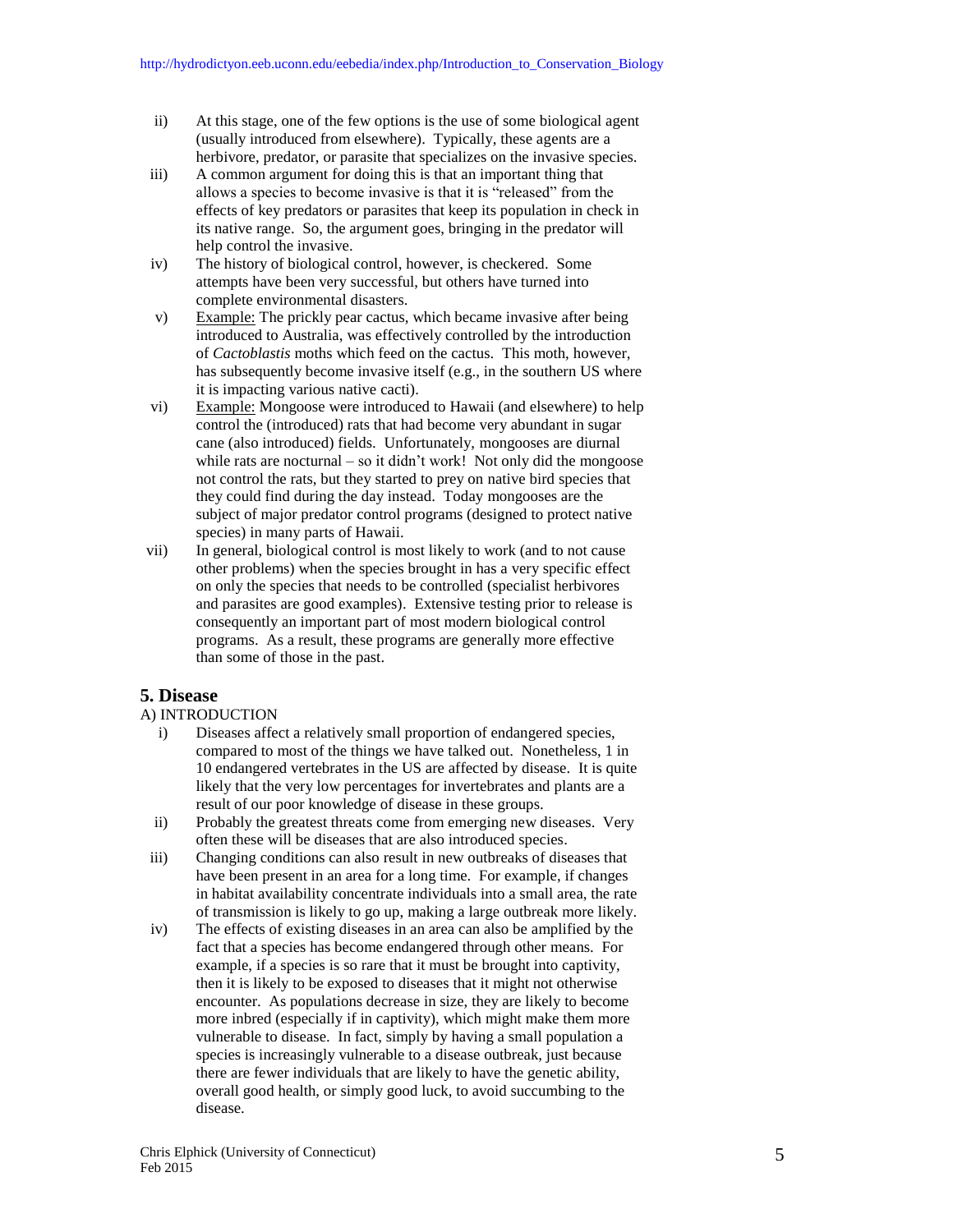- ii) At this stage, one of the few options is the use of some biological agent (usually introduced from elsewhere). Typically, these agents are a herbivore, predator, or parasite that specializes on the invasive species.
- iii) A common argument for doing this is that an important thing that allows a species to become invasive is that it is "released" from the effects of key predators or parasites that keep its population in check in its native range. So, the argument goes, bringing in the predator will help control the invasive.
- iv) The history of biological control, however, is checkered. Some attempts have been very successful, but others have turned into complete environmental disasters.
- v) Example: The prickly pear cactus, which became invasive after being introduced to Australia, was effectively controlled by the introduction of *Cactoblastis* moths which feed on the cactus. This moth, however, has subsequently become invasive itself (e.g., in the southern US where it is impacting various native cacti).
- vi) Example: Mongoose were introduced to Hawaii (and elsewhere) to help control the (introduced) rats that had become very abundant in sugar cane (also introduced) fields. Unfortunately, mongooses are diurnal while rats are nocturnal – so it didn't work! Not only did the mongoose not control the rats, but they started to prey on native bird species that they could find during the day instead. Today mongooses are the subject of major predator control programs (designed to protect native species) in many parts of Hawaii.
- vii) In general, biological control is most likely to work (and to not cause other problems) when the species brought in has a very specific effect on only the species that needs to be controlled (specialist herbivores and parasites are good examples). Extensive testing prior to release is consequently an important part of most modern biological control programs. As a result, these programs are generally more effective than some of those in the past.

## **5. Disease**

#### A) INTRODUCTION

- i) Diseases affect a relatively small proportion of endangered species, compared to most of the things we have talked out. Nonetheless, 1 in 10 endangered vertebrates in the US are affected by disease. It is quite likely that the very low percentages for invertebrates and plants are a result of our poor knowledge of disease in these groups.
- ii) Probably the greatest threats come from emerging new diseases. Very often these will be diseases that are also introduced species.
- iii) Changing conditions can also result in new outbreaks of diseases that have been present in an area for a long time. For example, if changes in habitat availability concentrate individuals into a small area, the rate of transmission is likely to go up, making a large outbreak more likely.
- iv) The effects of existing diseases in an area can also be amplified by the fact that a species has become endangered through other means. For example, if a species is so rare that it must be brought into captivity, then it is likely to be exposed to diseases that it might not otherwise encounter. As populations decrease in size, they are likely to become more inbred (especially if in captivity), which might make them more vulnerable to disease. In fact, simply by having a small population a species is increasingly vulnerable to a disease outbreak, just because there are fewer individuals that are likely to have the genetic ability, overall good health, or simply good luck, to avoid succumbing to the disease.